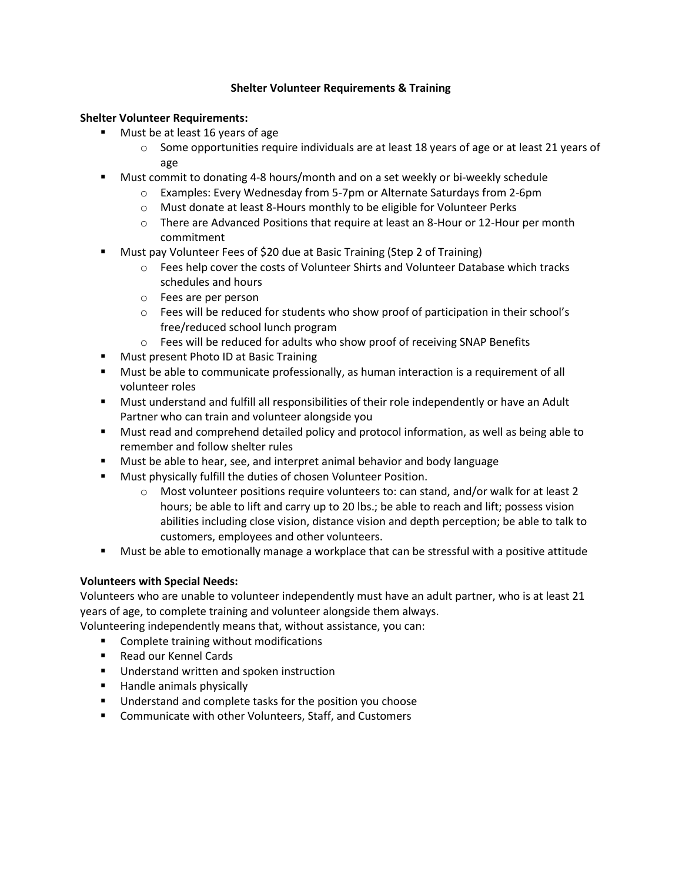## **Shelter Volunteer Requirements & Training**

## **Shelter Volunteer Requirements:**

- Must be at least 16 years of age
	- $\circ$  Some opportunities require individuals are at least 18 years of age or at least 21 years of age
- **■** Must commit to donating 4-8 hours/month and on a set weekly or bi-weekly schedule
	- o Examples: Every Wednesday from 5-7pm or Alternate Saturdays from 2-6pm
	- o Must donate at least 8-Hours monthly to be eligible for Volunteer Perks
	- $\circ$  There are Advanced Positions that require at least an 8-Hour or 12-Hour per month commitment
- **Must pay Volunteer Fees of \$20 due at Basic Training (Step 2 of Training)** 
	- $\circ$  Fees help cover the costs of Volunteer Shirts and Volunteer Database which tracks schedules and hours
	- o Fees are per person
	- $\circ$  Fees will be reduced for students who show proof of participation in their school's free/reduced school lunch program
	- o Fees will be reduced for adults who show proof of receiving SNAP Benefits
- Must present Photo ID at Basic Training
- Must be able to communicate professionally, as human interaction is a requirement of all volunteer roles
- Must understand and fulfill all responsibilities of their role independently or have an Adult Partner who can train and volunteer alongside you
- Must read and comprehend detailed policy and protocol information, as well as being able to remember and follow shelter rules
- Must be able to hear, see, and interpret animal behavior and body language
- Must physically fulfill the duties of chosen Volunteer Position.
	- $\circ$  Most volunteer positions require volunteers to: can stand, and/or walk for at least 2 hours; be able to lift and carry up to 20 lbs.; be able to reach and lift; possess vision abilities including close vision, distance vision and depth perception; be able to talk to customers, employees and other volunteers.
- Must be able to emotionally manage a workplace that can be stressful with a positive attitude

# **Volunteers with Special Needs:**

Volunteers who are unable to volunteer independently must have an adult partner, who is at least 21 years of age, to complete training and volunteer alongside them always.

Volunteering independently means that, without assistance, you can:

- Complete training without modifications
- Read our Kennel Cards
- Understand written and spoken instruction
- Handle animals physically
- Understand and complete tasks for the position you choose
- Communicate with other Volunteers, Staff, and Customers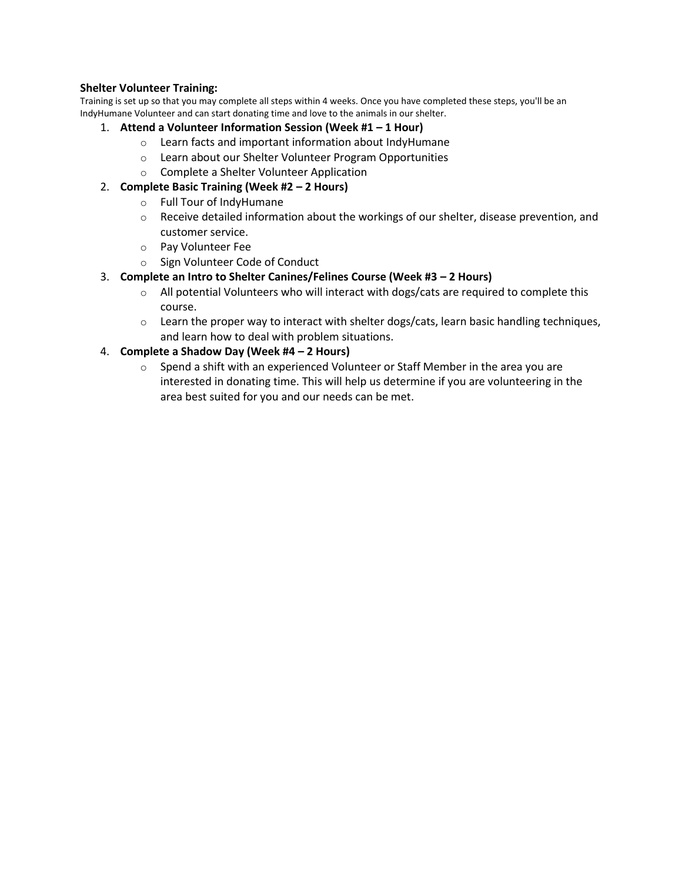# **Shelter Volunteer Training:**

Training is set up so that you may complete all steps within 4 weeks. Once you have completed these steps, you'll be an IndyHumane Volunteer and can start donating time and love to the animals in our shelter.

- 1. **Attend a Volunteer Information Session (Week #1 – 1 Hour)**
	- o Learn facts and important information about IndyHumane
	- o Learn about our Shelter Volunteer Program Opportunities
	- o Complete a Shelter Volunteer Application

# 2. **Complete Basic Training (Week #2 – 2 Hours)**

- o Full Tour of IndyHumane
- $\circ$  Receive detailed information about the workings of our shelter, disease prevention, and customer service.
- o Pay Volunteer Fee
- o Sign Volunteer Code of Conduct
- 3. **Complete an Intro to Shelter Canines/Felines Course (Week #3 – 2 Hours)**
	- $\circ$  All potential Volunteers who will interact with dogs/cats are required to complete this course.
	- $\circ$  Learn the proper way to interact with shelter dogs/cats, learn basic handling techniques, and learn how to deal with problem situations.

# 4. **Complete a Shadow Day (Week #4 – 2 Hours)**

o Spend a shift with an experienced Volunteer or Staff Member in the area you are interested in donating time. This will help us determine if you are volunteering in the area best suited for you and our needs can be met.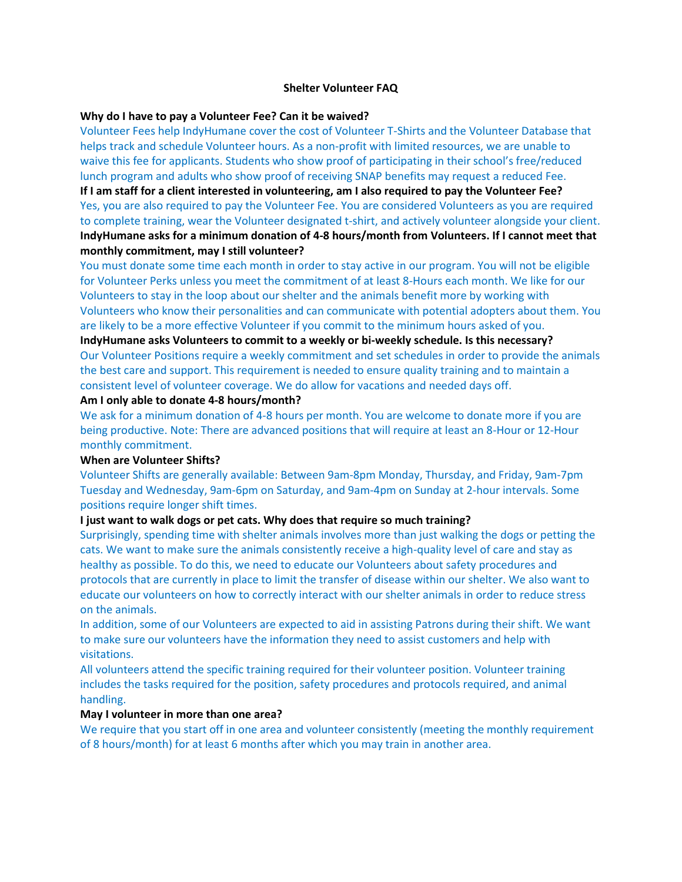### **Shelter Volunteer FAQ**

### **Why do I have to pay a Volunteer Fee? Can it be waived?**

Volunteer Fees help IndyHumane cover the cost of Volunteer T-Shirts and the Volunteer Database that helps track and schedule Volunteer hours. As a non-profit with limited resources, we are unable to waive this fee for applicants. Students who show proof of participating in their school's free/reduced lunch program and adults who show proof of receiving SNAP benefits may request a reduced Fee.

**If I am staff for a client interested in volunteering, am I also required to pay the Volunteer Fee?**  Yes, you are also required to pay the Volunteer Fee. You are considered Volunteers as you are required to complete training, wear the Volunteer designated t-shirt, and actively volunteer alongside your client. **IndyHumane asks for a minimum donation of 4-8 hours/month from Volunteers. If I cannot meet that monthly commitment, may I still volunteer?** 

You must donate some time each month in order to stay active in our program. You will not be eligible for Volunteer Perks unless you meet the commitment of at least 8-Hours each month. We like for our Volunteers to stay in the loop about our shelter and the animals benefit more by working with Volunteers who know their personalities and can communicate with potential adopters about them. You are likely to be a more effective Volunteer if you commit to the minimum hours asked of you.

**IndyHumane asks Volunteers to commit to a weekly or bi-weekly schedule. Is this necessary?**  Our Volunteer Positions require a weekly commitment and set schedules in order to provide the animals the best care and support. This requirement is needed to ensure quality training and to maintain a consistent level of volunteer coverage. We do allow for vacations and needed days off.

### **Am I only able to donate 4-8 hours/month?**

We ask for a minimum donation of 4-8 hours per month. You are welcome to donate more if you are being productive. Note: There are advanced positions that will require at least an 8-Hour or 12-Hour monthly commitment.

### **When are Volunteer Shifts?**

Volunteer Shifts are generally available: Between 9am-8pm Monday, Thursday, and Friday, 9am-7pm Tuesday and Wednesday, 9am-6pm on Saturday, and 9am-4pm on Sunday at 2-hour intervals. Some positions require longer shift times.

### **I just want to walk dogs or pet cats. Why does that require so much training?**

Surprisingly, spending time with shelter animals involves more than just walking the dogs or petting the cats. We want to make sure the animals consistently receive a high-quality level of care and stay as healthy as possible. To do this, we need to educate our Volunteers about safety procedures and protocols that are currently in place to limit the transfer of disease within our shelter. We also want to educate our volunteers on how to correctly interact with our shelter animals in order to reduce stress on the animals.

In addition, some of our Volunteers are expected to aid in assisting Patrons during their shift. We want to make sure our volunteers have the information they need to assist customers and help with visitations.

All volunteers attend the specific training required for their volunteer position. Volunteer training includes the tasks required for the position, safety procedures and protocols required, and animal handling.

### **May I volunteer in more than one area?**

We require that you start off in one area and volunteer consistently (meeting the monthly requirement of 8 hours/month) for at least 6 months after which you may train in another area.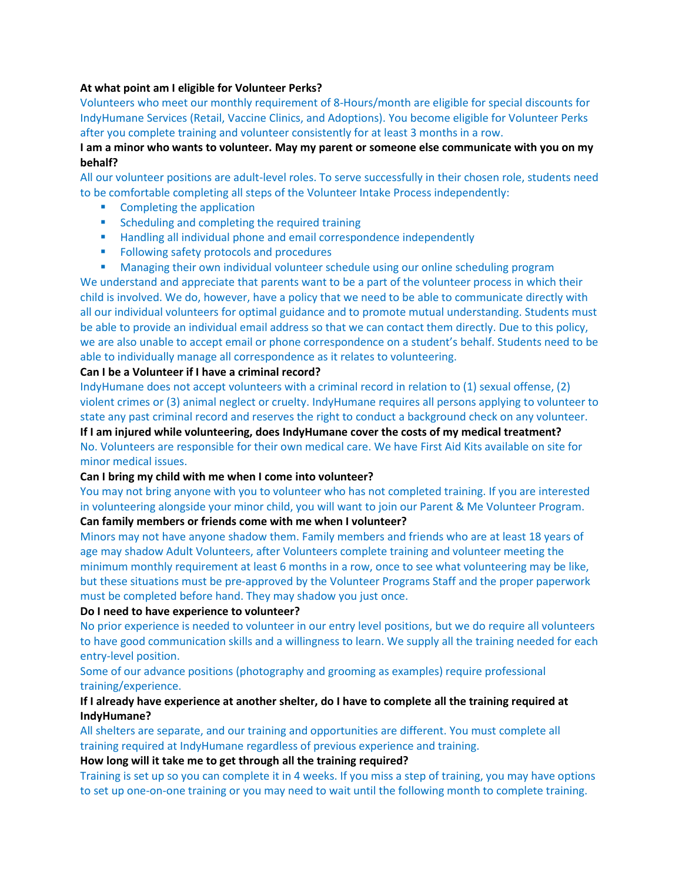### **At what point am I eligible for Volunteer Perks?**

Volunteers who meet our monthly requirement of 8-Hours/month are eligible for special discounts for IndyHumane Services (Retail, Vaccine Clinics, and Adoptions). You become eligible for Volunteer Perks after you complete training and volunteer consistently for at least 3 months in a row.

# **I am a minor who wants to volunteer. May my parent or someone else communicate with you on my behalf?**

All our volunteer positions are adult-level roles. To serve successfully in their chosen role, students need to be comfortable completing all steps of the Volunteer Intake Process independently:

- Completing the application
- Scheduling and completing the required training
- Handling all individual phone and email correspondence independently
- Following safety protocols and procedures
- **■** Managing their own individual volunteer schedule using our online scheduling program

We understand and appreciate that parents want to be a part of the volunteer process in which their child is involved. We do, however, have a policy that we need to be able to communicate directly with all our individual volunteers for optimal guidance and to promote mutual understanding. Students must be able to provide an individual email address so that we can contact them directly. Due to this policy, we are also unable to accept email or phone correspondence on a student's behalf. Students need to be able to individually manage all correspondence as it relates to volunteering.

### **Can I be a Volunteer if I have a criminal record?**

IndyHumane does not accept volunteers with a criminal record in relation to (1) sexual offense, (2) violent crimes or (3) animal neglect or cruelty. IndyHumane requires all persons applying to volunteer to state any past criminal record and reserves the right to conduct a background check on any volunteer.

**If I am injured while volunteering, does IndyHumane cover the costs of my medical treatment?**  No. Volunteers are responsible for their own medical care. We have First Aid Kits available on site for minor medical issues.

### **Can I bring my child with me when I come into volunteer?**

You may not bring anyone with you to volunteer who has not completed training. If you are interested in volunteering alongside your minor child, you will want to join our Parent & Me Volunteer Program.

## **Can family members or friends come with me when I volunteer?**

Minors may not have anyone shadow them. Family members and friends who are at least 18 years of age may shadow Adult Volunteers, after Volunteers complete training and volunteer meeting the minimum monthly requirement at least 6 months in a row, once to see what volunteering may be like, but these situations must be pre-approved by the Volunteer Programs Staff and the proper paperwork must be completed before hand. They may shadow you just once.

### **Do I need to have experience to volunteer?**

No prior experience is needed to volunteer in our entry level positions, but we do require all volunteers to have good communication skills and a willingness to learn. We supply all the training needed for each entry-level position.

Some of our advance positions (photography and grooming as examples) require professional training/experience.

## **If I already have experience at another shelter, do I have to complete all the training required at IndyHumane?**

All shelters are separate, and our training and opportunities are different. You must complete all training required at IndyHumane regardless of previous experience and training.

### **How long will it take me to get through all the training required?**

Training is set up so you can complete it in 4 weeks. If you miss a step of training, you may have options to set up one-on-one training or you may need to wait until the following month to complete training.